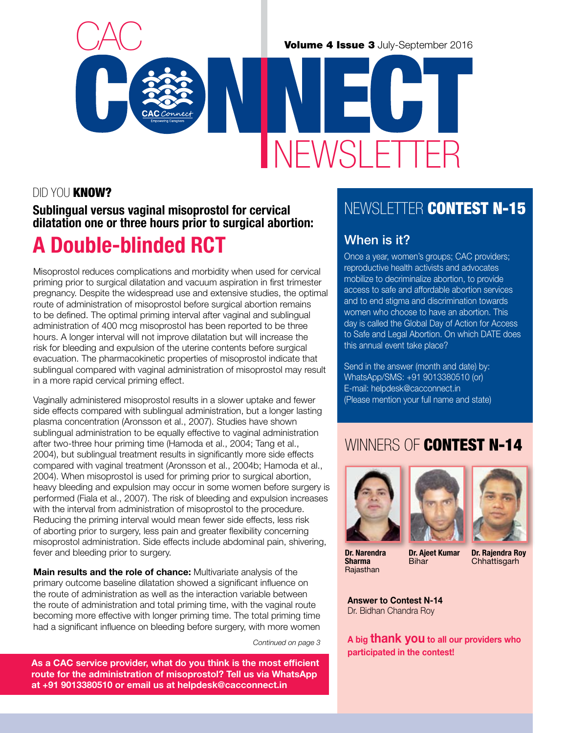#### Did You Know?

#### Sublingual versus vaginal misoprostol for cervical dilatation one or three hours prior to surgical abortion:

## A Double-blinded RCT

Misoprostol reduces complications and morbidity when used for cervical priming prior to surgical dilatation and vacuum aspiration in first trimester pregnancy. Despite the widespread use and extensive studies, the optimal route of administration of misoprostol before surgical abortion remains to be defined. The optimal priming interval after vaginal and sublingual administration of 400 mcg misoprostol has been reported to be three hours. A longer interval will not improve dilatation but will increase the risk for bleeding and expulsion of the uterine contents before surgical evacuation. The pharmacokinetic properties of misoprostol indicate that sublingual compared with vaginal administration of misoprostol may result in a more rapid cervical priming effect.

Vaginally administered misoprostol results in a slower uptake and fewer side effects compared with sublingual administration, but a longer lasting plasma concentration (Aronsson et al., 2007). Studies have shown sublingual administration to be equally effective to vaginal administration after two-three hour priming time (Hamoda et al., 2004; Tang et al., 2004), but sublingual treatment results in significantly more side effects compared with vaginal treatment (Aronsson et al., 2004b; Hamoda et al., 2004). When misoprostol is used for priming prior to surgical abortion, heavy bleeding and expulsion may occur in some women before surgery is performed (Fiala et al., 2007). The risk of bleeding and expulsion increases with the interval from administration of misoprostol to the procedure. Reducing the priming interval would mean fewer side effects, less risk of aborting prior to surgery, less pain and greater flexibility concerning misoprostol administration. Side effects include abdominal pain, shivering, fever and bleeding prior to surgery.

Main results and the role of chance: Multivariate analysis of the primary outcome baseline dilatation showed a significant influence on the route of administration as well as the interaction variable between the route of administration and total priming time, with the vaginal route becoming more effective with longer priming time. The total priming time had a significant influence on bleeding before surgery, with more women

*Continued on page 3*

As a CAC service provider, what do you think is the most efficient route for the administration of misoprostol? Tell us via WhatsApp at +91 9013380510 or email us at helpdesk@cacconnect.in

## NEWSI FTTER CONTEST N-15

#### When is it?

NEWSLETTE

Once a year, women's groups; CAC providers; reproductive health activists and advocates mobilize to decriminalize abortion, to provide access to safe and affordable abortion services and to end stigma and discrimination towards women who choose to have an abortion. This day is called the Global Day of Action for Access to Safe and Legal Abortion. On which DATE does this annual event take place?

Send in the answer (month and date) by: WhatsApp/SMS: +91 9013380510 (or) E-mail: helpdesk@cacconnect.in (Please mention your full name and state)

## WINNERS OF CONTEST N-14



Dr. Narendra Sharma Rajasthan





Dr. Rajendra Roy **Chhattisgarh** 

Answer to Contest N-14 Dr. Bidhan Chandra Roy

A big **thank you** to all our providers who participated in the contest!

Dr. Ajeet Kumar Bihar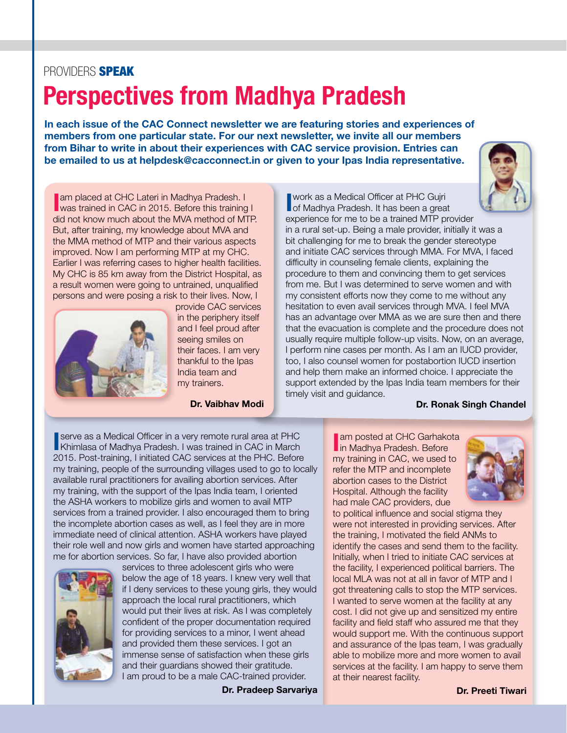#### PROVIDERS **SPEAK**

# Perspectives from Madhya Pradesh

In each issue of the CAC Connect newsletter we are featuring stories and experiences of members from one particular state. For our next newsletter, we invite all our members from Bihar to write in about their experiences with CAC service provision. Entries can be emailed to us at helpdesk@cacconnect.in or given to your Ipas India representative.



**I am placed at CHC Lateri in Madhya Pradesh. I** was trained in CAC in 2015. Before this training I did not know much about the MVA method of MTP. But, after training, my knowledge about MVA and the MMA method of MTP and their various aspects improved. Now I am performing MTP at my CHC. Earlier I was referring cases to higher health facilities. My CHC is 85 km away from the District Hospital, as a result women were going to untrained, unqualified persons and were posing a risk to their lives. Now, I



provide CAC services in the periphery itself and I feel proud after seeing smiles on their faces. I am very thankful to the Ipas India team and my trainers.

Dr. Vaibhav Modi

**I** work as a Medical Officer at PHC Gujri<br> **I** of Madhya Pradesh. It has been a great work as a Medical Officer at PHC Gujri experience for me to be a trained MTP provider

in a rural set-up. Being a male provider, initially it was a bit challenging for me to break the gender stereotype and initiate CAC services through MMA. For MVA, I faced difficulty in counseling female clients, explaining the procedure to them and convincing them to get services from me. But I was determined to serve women and with my consistent efforts now they come to me without any hesitation to even avail services through MVA. I feel MVA has an advantage over MMA as we are sure then and there that the evacuation is complete and the procedure does not usually require multiple follow-up visits. Now, on an average, I perform nine cases per month. As I am an IUCD provider, too, I also counsel women for postabortion IUCD insertion and help them make an informed choice. I appreciate the support extended by the Ipas India team members for their timely visit and guidance.

#### Dr. Ronak Singh Chandel

**In serve as a Medical Officer in a very remote rural area at PHC**<br>Khimlasa of Madhya Pradesh. I was trained in CAC in March serve as a Medical Officer in a very remote rural area at PHC 2015. Post-training, I initiated CAC services at the PHC. Before my training, people of the surrounding villages used to go to locally available rural practitioners for availing abortion services. After my training, with the support of the Ipas India team, I oriented the ASHA workers to mobilize girls and women to avail MTP services from a trained provider. I also encouraged them to bring the incomplete abortion cases as well, as I feel they are in more immediate need of clinical attention. ASHA workers have played their role well and now girls and women have started approaching me for abortion services. So far, I have also provided abortion



services to three adolescent girls who were below the age of 18 years. I knew very well that if I deny services to these young girls, they would approach the local rural practitioners, which would put their lives at risk. As I was completely confident of the proper documentation required for providing services to a minor, I went ahead and provided them these services. I got an immense sense of satisfaction when these girls and their guardians showed their gratitude. I am proud to be a male CAC-trained provider.

Dr. Pradeep Sarvariya

**Iam posted at CHC Garhako<br>In Madhya Pradesh. Before** am posted at CHC Garhakota my training in CAC, we used to refer the MTP and incomplete abortion cases to the District Hospital. Although the facility had male CAC providers, due



to political influence and social stigma they were not interested in providing services. After the training, I motivated the field ANMs to identify the cases and send them to the facility. Initially, when I tried to initiate CAC services at the facility, I experienced political barriers. The local MLA was not at all in favor of MTP and I got threatening calls to stop the MTP services. I wanted to serve women at the facility at any cost. I did not give up and sensitized my entire facility and field staff who assured me that they would support me. With the continuous support and assurance of the Ipas team, I was gradually able to mobilize more and more women to avail services at the facility. I am happy to serve them at their nearest facility.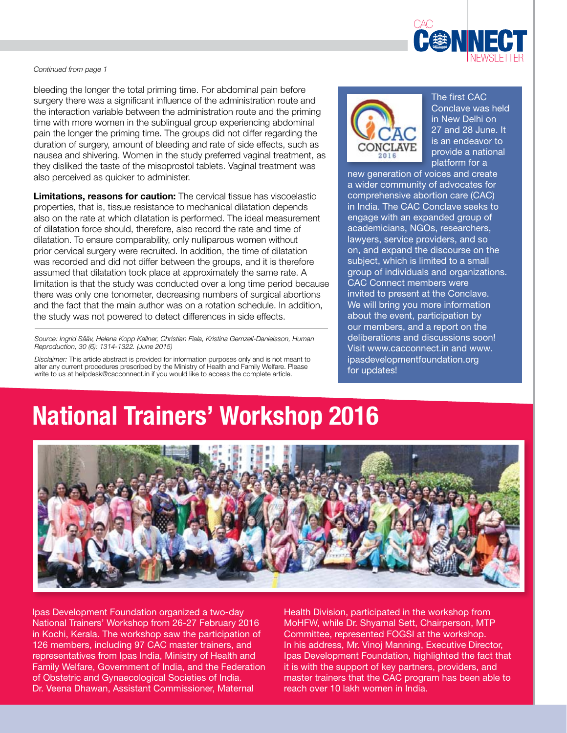

#### *Continued from page 1*

bleeding the longer the total priming time. For abdominal pain before surgery there was a significant influence of the administration route and the interaction variable between the administration route and the priming time with more women in the sublingual group experiencing abdominal pain the longer the priming time. The groups did not differ regarding the duration of surgery, amount of bleeding and rate of side effects, such as nausea and shivering. Women in the study preferred vaginal treatment, as they disliked the taste of the misoprostol tablets. Vaginal treatment was also perceived as quicker to administer.

Limitations, reasons for caution: The cervical tissue has viscoelastic properties, that is, tissue resistance to mechanical dilatation depends also on the rate at which dilatation is performed. The ideal measurement of dilatation force should, therefore, also record the rate and time of dilatation. To ensure comparability, only nulliparous women without prior cervical surgery were recruited. In addition, the time of dilatation was recorded and did not differ between the groups, and it is therefore assumed that dilatation took place at approximately the same rate. A limitation is that the study was conducted over a long time period because there was only one tonometer, decreasing numbers of surgical abortions and the fact that the main author was on a rotation schedule. In addition, the study was not powered to detect differences in side effects.

*Source: Ingrid Sääv, Helena Kopp Kallner, Christian Fiala, Kristina Gemzell-Danielsson, Human Reproduction, 30 (6): 1314-1322. (June 2015)*

*Disclaimer:* This article abstract is provided for information purposes only and is not meant to alter any current procedures prescribed by the Ministry of Health and Family Welfare. Please write to us at helpdesk@cacconnect.in if you would like to access the complete article.



The first CAC Conclave was held in New Delhi on 27 and 28 June. It is an endeavor to provide a national platform for a

new generation of voices and create a wider community of advocates for comprehensive abortion care (CAC) in India. The CAC Conclave seeks to engage with an expanded group of academicians, NGOs, researchers, lawyers, service providers, and so on, and expand the discourse on the subject, which is limited to a small group of individuals and organizations. CAC Connect members were invited to present at the Conclave. We will bring you more information about the event, participation by our members, and a report on the deliberations and discussions soon! Visit www.cacconnect.in and www. ipasdevelopmentfoundation.org for updates!

# National Trainers' Workshop 2016



Ipas Development Foundation organized a two-day National Trainers' Workshop from 26-27 February 2016 in Kochi, Kerala. The workshop saw the participation of 126 members, including 97 CAC master trainers, and representatives from Ipas India, Ministry of Health and Family Welfare, Government of India, and the Federation of Obstetric and Gynaecological Societies of India. Dr. Veena Dhawan, Assistant Commissioner, Maternal

Health Division, participated in the workshop from MoHFW, while Dr. Shyamal Sett, Chairperson, MTP Committee, represented FOGSI at the workshop. In his address, Mr. Vinoj Manning, Executive Director, Ipas Development Foundation, highlighted the fact that it is with the support of key partners, providers, and master trainers that the CAC program has been able to reach over 10 lakh women in India.